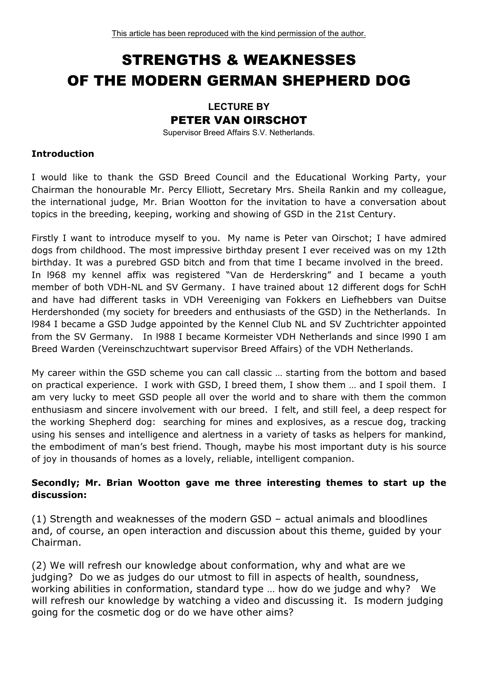# STRENGTHS & WEAKNESSES OF THE MODERN GERMAN SHEPHERD DOG

# **LECTURE BY**  PETER VAN OIRSCHOT

Supervisor Breed Affairs S.V. Netherlands.

#### **Introduction**

I would like to thank the GSD Breed Council and the Educational Working Party, your Chairman the honourable Mr. Percy Elliott, Secretary Mrs. Sheila Rankin and my colleague, the international judge, Mr. Brian Wootton for the invitation to have a conversation about topics in the breeding, keeping, working and showing of GSD in the 21st Century.

Firstly I want to introduce myself to you. My name is Peter van Oirschot; I have admired dogs from childhood. The most impressive birthday present I ever received was on my 12th birthday. It was a purebred GSD bitch and from that time I became involved in the breed. In l968 my kennel affix was registered "Van de Herderskring" and I became a youth member of both VDH-NL and SV Germany. I have trained about 12 different dogs for SchH and have had different tasks in VDH Vereeniging van Fokkers en Liefhebbers van Duitse Herdershonded (my society for breeders and enthusiasts of the GSD) in the Netherlands. In l984 I became a GSD Judge appointed by the Kennel Club NL and SV Zuchtrichter appointed from the SV Germany. In l988 I became Kormeister VDH Netherlands and since l990 I am Breed Warden (Vereinschzuchtwart supervisor Breed Affairs) of the VDH Netherlands.

My career within the GSD scheme you can call classic … starting from the bottom and based on practical experience. I work with GSD, I breed them, I show them … and I spoil them. I am very lucky to meet GSD people all over the world and to share with them the common enthusiasm and sincere involvement with our breed. I felt, and still feel, a deep respect for the working Shepherd dog: searching for mines and explosives, as a rescue dog, tracking using his senses and intelligence and alertness in a variety of tasks as helpers for mankind, the embodiment of man's best friend. Though, maybe his most important duty is his source of joy in thousands of homes as a lovely, reliable, intelligent companion.

# **Secondly; Mr. Brian Wootton gave me three interesting themes to start up the discussion:**

(1) Strength and weaknesses of the modern GSD – actual animals and bloodlines and, of course, an open interaction and discussion about this theme, guided by your Chairman.

(2) We will refresh our knowledge about conformation, why and what are we judging? Do we as judges do our utmost to fill in aspects of health, soundness, working abilities in conformation, standard type … how do we judge and why? We will refresh our knowledge by watching a video and discussing it. Is modern judging going for the cosmetic dog or do we have other aims?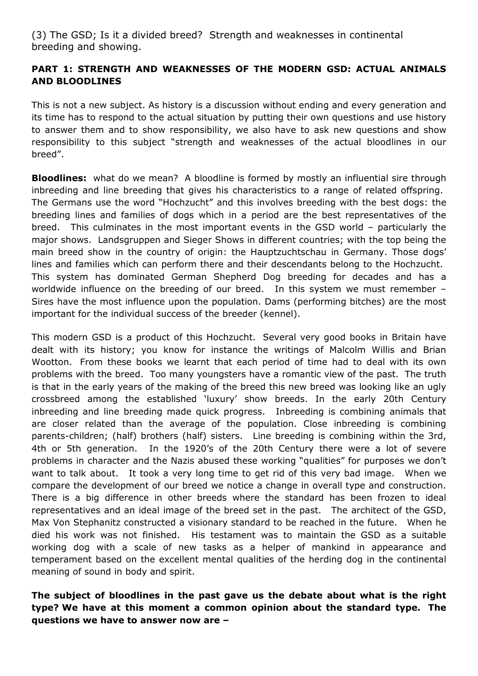(3) The GSD; Is it a divided breed? Strength and weaknesses in continental breeding and showing.

# **PART 1: STRENGTH AND WEAKNESSES OF THE MODERN GSD: ACTUAL ANIMALS AND BLOODLINES**

This is not a new subject. As history is a discussion without ending and every generation and its time has to respond to the actual situation by putting their own questions and use history to answer them and to show responsibility, we also have to ask new questions and show responsibility to this subject "strength and weaknesses of the actual bloodlines in our breed".

**Bloodlines:** what do we mean? A bloodline is formed by mostly an influential sire through inbreeding and line breeding that gives his characteristics to a range of related offspring. The Germans use the word "Hochzucht" and this involves breeding with the best dogs: the breeding lines and families of dogs which in a period are the best representatives of the breed. This culminates in the most important events in the GSD world – particularly the major shows. Landsgruppen and Sieger Shows in different countries; with the top being the main breed show in the country of origin: the Hauptzuchtschau in Germany. Those dogs' lines and families which can perform there and their descendants belong to the Hochzucht. This system has dominated German Shepherd Dog breeding for decades and has a worldwide influence on the breeding of our breed. In this system we must remember – Sires have the most influence upon the population. Dams (performing bitches) are the most important for the individual success of the breeder (kennel).

This modern GSD is a product of this Hochzucht. Several very good books in Britain have dealt with its history; you know for instance the writings of Malcolm Willis and Brian Wootton. From these books we learnt that each period of time had to deal with its own problems with the breed. Too many youngsters have a romantic view of the past. The truth is that in the early years of the making of the breed this new breed was looking like an ugly crossbreed among the established 'luxury' show breeds. In the early 20th Century inbreeding and line breeding made quick progress. Inbreeding is combining animals that are closer related than the average of the population. Close inbreeding is combining parents-children; (half) brothers (half) sisters. Line breeding is combining within the 3rd, 4th or 5th generation. In the 1920's of the 20th Century there were a lot of severe problems in character and the Nazis abused these working "qualities" for purposes we don't want to talk about. It took a very long time to get rid of this very bad image. When we compare the development of our breed we notice a change in overall type and construction. There is a big difference in other breeds where the standard has been frozen to ideal representatives and an ideal image of the breed set in the past. The architect of the GSD, Max Von Stephanitz constructed a visionary standard to be reached in the future. When he died his work was not finished. His testament was to maintain the GSD as a suitable working dog with a scale of new tasks as a helper of mankind in appearance and temperament based on the excellent mental qualities of the herding dog in the continental meaning of sound in body and spirit.

# **The subject of bloodlines in the past gave us the debate about what is the right type? We have at this moment a common opinion about the standard type. The questions we have to answer now are –**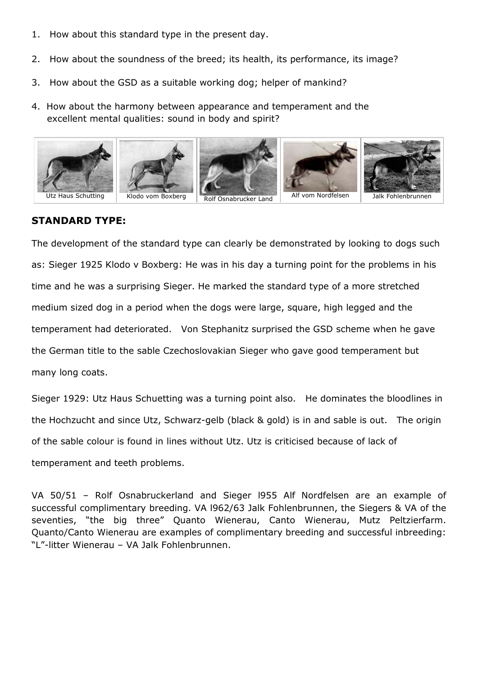- 1. How about this standard type in the present day.
- 2. How about the soundness of the breed; its health, its performance, its image?
- 3. How about the GSD as a suitable working dog; helper of mankind?
- 4. How about the harmony between appearance and temperament and the excellent mental qualities: sound in body and spirit?



#### **STANDARD TYPE:**

The development of the standard type can clearly be demonstrated by looking to dogs such as: Sieger 1925 Klodo v Boxberg: He was in his day a turning point for the problems in his time and he was a surprising Sieger. He marked the standard type of a more stretched medium sized dog in a period when the dogs were large, square, high legged and the temperament had deteriorated. Von Stephanitz surprised the GSD scheme when he gave the German title to the sable Czechoslovakian Sieger who gave good temperament but many long coats.

Sieger 1929: Utz Haus Schuetting was a turning point also. He dominates the bloodlines in the Hochzucht and since Utz, Schwarz-gelb (black & gold) is in and sable is out. The origin of the sable colour is found in lines without Utz. Utz is criticised because of lack of temperament and teeth problems.

VA 50/51 – Rolf Osnabruckerland and Sieger l955 Alf Nordfelsen are an example of successful complimentary breeding. VA l962/63 Jalk Fohlenbrunnen, the Siegers & VA of the seventies, "the big three" Quanto Wienerau, Canto Wienerau, Mutz Peltzierfarm. Quanto/Canto Wienerau are examples of complimentary breeding and successful inbreeding: "L"-litter Wienerau – VA Jalk Fohlenbrunnen.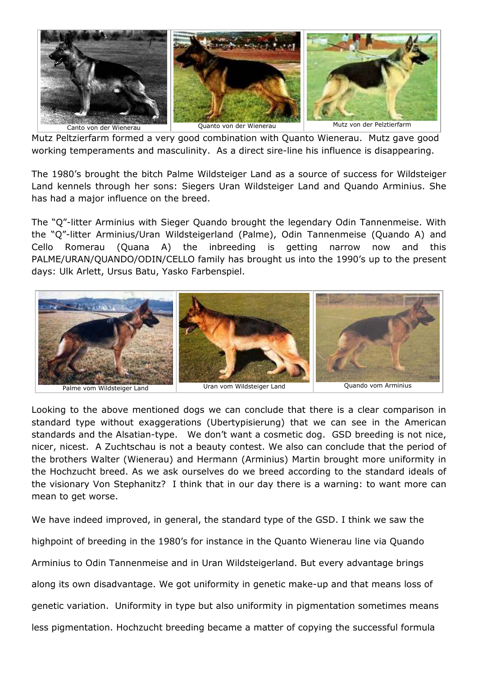

Mutz Peltzierfarm formed a very good combination with Quanto Wienerau. Mutz gave good working temperaments and masculinity. As a direct sire-line his influence is disappearing.

The 1980's brought the bitch Palme Wildsteiger Land as a source of success for Wildsteiger Land kennels through her sons: Siegers Uran Wildsteiger Land and Quando Arminius. She has had a major influence on the breed.

The "Q"-litter Arminius with Sieger Quando brought the legendary Odin Tannenmeise. With the "Q"-litter Arminius/Uran Wildsteigerland (Palme), Odin Tannenmeise (Quando A) and Cello Romerau (Quana A) the inbreeding is getting narrow now and this PALME/URAN/QUANDO/ODIN/CELLO family has brought us into the 1990's up to the present days: Ulk Arlett, Ursus Batu, Yasko Farbenspiel.



Looking to the above mentioned dogs we can conclude that there is a clear comparison in standard type without exaggerations (Ubertypisierung) that we can see in the American standards and the Alsatian-type. We don't want a cosmetic dog. GSD breeding is not nice, nicer, nicest. A Zuchtschau is not a beauty contest. We also can conclude that the period of the brothers Walter (Wienerau) and Hermann (Arminius) Martin brought more uniformity in the Hochzucht breed. As we ask ourselves do we breed according to the standard ideals of the visionary Von Stephanitz? I think that in our day there is a warning: to want more can mean to get worse.

We have indeed improved, in general, the standard type of the GSD. I think we saw the highpoint of breeding in the 1980's for instance in the Quanto Wienerau line via Quando Arminius to Odin Tannenmeise and in Uran Wildsteigerland. But every advantage brings along its own disadvantage. We got uniformity in genetic make-up and that means loss of genetic variation. Uniformity in type but also uniformity in pigmentation sometimes means less pigmentation. Hochzucht breeding became a matter of copying the successful formula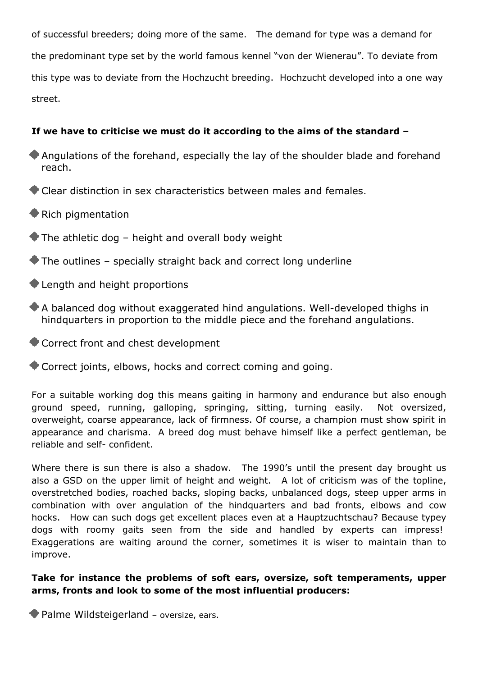of successful breeders; doing more of the same. The demand for type was a demand for the predominant type set by the world famous kennel "von der Wienerau". To deviate from this type was to deviate from the Hochzucht breeding. Hochzucht developed into a one way street.

# **If we have to criticise we must do it according to the aims of the standard –**

- Angulations of the forehand, especially the lay of the shoulder blade and forehand reach.
- Clear distinction in sex characteristics between males and females.
- Rich pigmentation
- $\blacktriangleright$  The athletic dog height and overall body weight
- $\blacktriangleright$  The outlines specially straight back and correct long underline
- Length and height proportions
- A balanced dog without exaggerated hind angulations. Well-developed thighs in hindquarters in proportion to the middle piece and the forehand angulations.
- Correct front and chest development
- Correct joints, elbows, hocks and correct coming and going.

For a suitable working dog this means gaiting in harmony and endurance but also enough ground speed, running, galloping, springing, sitting, turning easily. Not oversized, overweight, coarse appearance, lack of firmness. Of course, a champion must show spirit in appearance and charisma. A breed dog must behave himself like a perfect gentleman, be reliable and self- confident.

Where there is sun there is also a shadow. The 1990's until the present day brought us also a GSD on the upper limit of height and weight. A lot of criticism was of the topline, overstretched bodies, roached backs, sloping backs, unbalanced dogs, steep upper arms in combination with over angulation of the hindquarters and bad fronts, elbows and cow hocks. How can such dogs get excellent places even at a Hauptzuchtschau? Because typey dogs with roomy gaits seen from the side and handled by experts can impress! Exaggerations are waiting around the corner, sometimes it is wiser to maintain than to improve.

#### **Take for instance the problems of soft ears, oversize, soft temperaments, upper arms, fronts and look to some of the most influential producers:**

Palme Wildsteigerland – oversize, ears.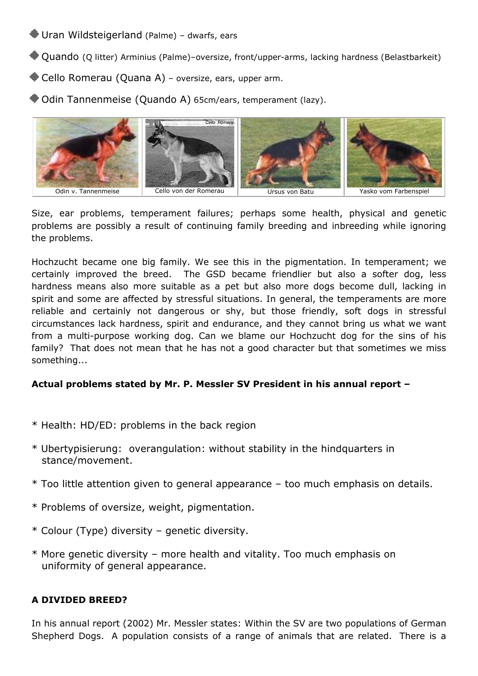# Uran Wildsteigerland (Palme) – dwarfs, ears

- Quando (Q litter) Arminius (Palme)–oversize, front/upper-arms, lacking hardness (Belastbarkeit)
- Cello Romerau (Quana A) oversize, ears, upper arm.

Odin Tannenmeise (Quando A) 65cm/ears, temperament (lazy).



Size, ear problems, temperament failures; perhaps some health, physical and genetic problems are possibly a result of continuing family breeding and inbreeding while ignoring the problems.

Hochzucht became one big family. We see this in the pigmentation. In temperament; we certainly improved the breed. The GSD became friendlier but also a softer dog, less hardness means also more suitable as a pet but also more dogs become dull, lacking in spirit and some are affected by stressful situations. In general, the temperaments are more reliable and certainly not dangerous or shy, but those friendly, soft dogs in stressful circumstances lack hardness, spirit and endurance, and they cannot bring us what we want from a multi-purpose working dog. Can we blame our Hochzucht dog for the sins of his family? That does not mean that he has not a good character but that sometimes we miss something...

# **Actual problems stated by Mr. P. Messler SV President in his annual report –**

- \* Health: HD/ED: problems in the back region
- \* Ubertypisierung: overangulation: without stability in the hindquarters in stance/movement.
- \* Too little attention given to general appearance too much emphasis on details.
- \* Problems of oversize, weight, pigmentation.
- \* Colour (Type) diversity genetic diversity.
- \* More genetic diversity more health and vitality. Too much emphasis on uniformity of general appearance.

#### **A DIVIDED BREED?**

In his annual report (2002) Mr. Messler states: Within the SV are two populations of German Shepherd Dogs. A population consists of a range of animals that are related. There is a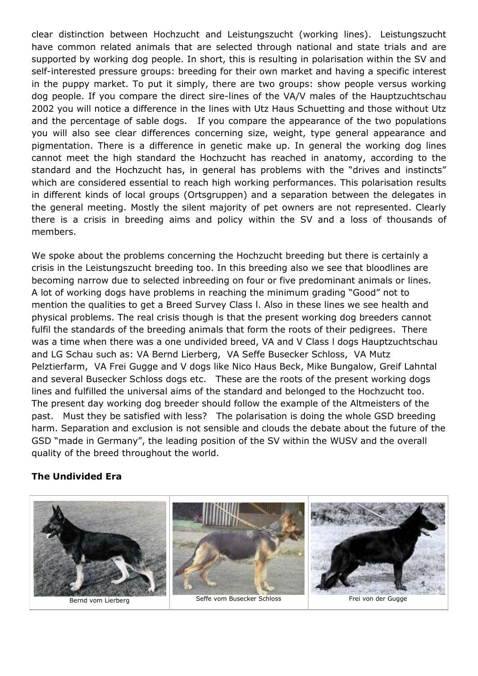clear distinction between Hochzucht and Leistungszucht (working lines). Leistungszucht have common related animals that are selected through national and state trials and are supported by working dog people. In short, this is resulting in polarisation within the SV and self-interested pressure groups: breeding for their own market and having a specific interest in the puppy market. To put it simply, there are two groups: show people versus working dog people. If you compare the direct sire-lines of the VA/V males of the Hauptzuchtschau 2002 you will notice a difference in the lines with Utz Haus Schuetting and those without Utz and the percentage of sable dogs. If you compare the appearance of the two populations you will also see clear differences concerning size, weight, type general appearance and pigmentation. There is a difference in genetic make up. In general the working dog lines cannot meet the high standard the Hochzucht has reached in anatomy, according to the standard and the Hochzucht has, in general has problems with the "drives and instincts" which are considered essential to reach high working performances. This polarisation results in different kinds of local groups (Ortsgruppen) and a separation between the delegates in the general meeting. Mostly the silent majority of pet owners are not represented. Clearly there is a crisis in breeding aims and policy within the SV and a loss of thousands of members.

We spoke about the problems concerning the Hochzucht breeding but there is certainly a crisis in the Leistungszucht breeding too. In this breeding also we see that bloodlines are becoming narrow due to selected inbreeding on four or five predominant animals or lines. A lot of working dogs have problems in reaching the minimum grading "Good" not to mention the qualities to get a Breed Survey Class l. Also in these lines we see health and physical problems. The real crisis though is that the present working dog breeders cannot fulfil the standards of the breeding animals that form the roots of their pedigrees. There was a time when there was a one undivided breed, VA and V Class l dogs Hauptzuchtschau and LG Schau such as: VA Bernd Lierberg, VA Seffe Busecker Schloss, VA Mutz Pelztierfarm, VA Frei Gugge and V dogs like Nico Haus Beck, Mike Bungalow, Greif Lahntal and several Busecker Schloss dogs etc. These are the roots of the present working dogs lines and fulfilled the universal aims of the standard and belonged to the Hochzucht too. The present day working dog breeder should follow the example of the Altmeisters of the past. Must they be satisfied with less? The polarisation is doing the whole GSD breeding harm. Separation and exclusion is not sensible and clouds the debate about the future of the GSD "made in Germany", the leading position of the SV within the WUSV and the overall quality of the breed throughout the world.

#### **The Undivided Era**

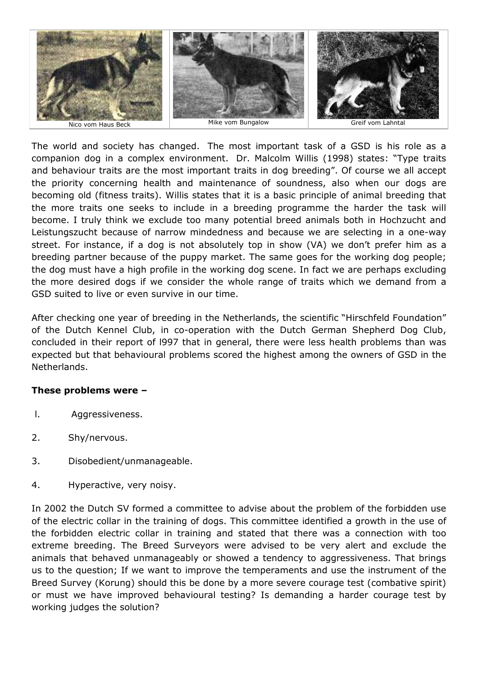

The world and society has changed. The most important task of a GSD is his role as a companion dog in a complex environment. Dr. Malcolm Willis (1998) states: "Type traits and behaviour traits are the most important traits in dog breeding". Of course we all accept the priority concerning health and maintenance of soundness, also when our dogs are becoming old (fitness traits). Willis states that it is a basic principle of animal breeding that the more traits one seeks to include in a breeding programme the harder the task will become. I truly think we exclude too many potential breed animals both in Hochzucht and Leistungszucht because of narrow mindedness and because we are selecting in a one-way street. For instance, if a dog is not absolutely top in show (VA) we don't prefer him as a breeding partner because of the puppy market. The same goes for the working dog people; the dog must have a high profile in the working dog scene. In fact we are perhaps excluding the more desired dogs if we consider the whole range of traits which we demand from a GSD suited to live or even survive in our time.

After checking one year of breeding in the Netherlands, the scientific "Hirschfeld Foundation" of the Dutch Kennel Club, in co-operation with the Dutch German Shepherd Dog Club, concluded in their report of l997 that in general, there were less health problems than was expected but that behavioural problems scored the highest among the owners of GSD in the Netherlands.

# **These problems were –**

- l. Aggressiveness.
- 2. Shy/nervous.
- 3. Disobedient/unmanageable.
- 4. Hyperactive, very noisy.

In 2002 the Dutch SV formed a committee to advise about the problem of the forbidden use of the electric collar in the training of dogs. This committee identified a growth in the use of the forbidden electric collar in training and stated that there was a connection with too extreme breeding. The Breed Surveyors were advised to be very alert and exclude the animals that behaved unmanageably or showed a tendency to aggressiveness. That brings us to the question; If we want to improve the temperaments and use the instrument of the Breed Survey (Korung) should this be done by a more severe courage test (combative spirit) or must we have improved behavioural testing? Is demanding a harder courage test by working judges the solution?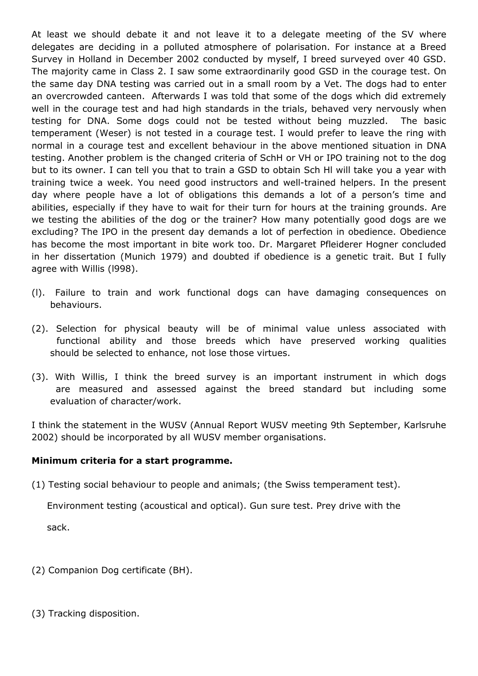At least we should debate it and not leave it to a delegate meeting of the SV where delegates are deciding in a polluted atmosphere of polarisation. For instance at a Breed Survey in Holland in December 2002 conducted by myself, I breed surveyed over 40 GSD. The majority came in Class 2. I saw some extraordinarily good GSD in the courage test. On the same day DNA testing was carried out in a small room by a Vet. The dogs had to enter an overcrowded canteen. Afterwards I was told that some of the dogs which did extremely well in the courage test and had high standards in the trials, behaved very nervously when testing for DNA. Some dogs could not be tested without being muzzled. The basic temperament (Weser) is not tested in a courage test. I would prefer to leave the ring with normal in a courage test and excellent behaviour in the above mentioned situation in DNA testing. Another problem is the changed criteria of SchH or VH or IPO training not to the dog but to its owner. I can tell you that to train a GSD to obtain Sch Hl will take you a year with training twice a week. You need good instructors and well-trained helpers. In the present day where people have a lot of obligations this demands a lot of a person's time and abilities, especially if they have to wait for their turn for hours at the training grounds. Are we testing the abilities of the dog or the trainer? How many potentially good dogs are we excluding? The IPO in the present day demands a lot of perfection in obedience. Obedience has become the most important in bite work too. Dr. Margaret Pfleiderer Hogner concluded in her dissertation (Munich 1979) and doubted if obedience is a genetic trait. But I fully agree with Willis (l998).

- (l). Failure to train and work functional dogs can have damaging consequences on behaviours.
- (2). Selection for physical beauty will be of minimal value unless associated with functional ability and those breeds which have preserved working qualities should be selected to enhance, not lose those virtues.
- (3). With Willis, I think the breed survey is an important instrument in which dogs are measured and assessed against the breed standard but including some evaluation of character/work.

I think the statement in the WUSV (Annual Report WUSV meeting 9th September, Karlsruhe 2002) should be incorporated by all WUSV member organisations.

#### **Minimum criteria for a start programme.**

(1) Testing social behaviour to people and animals; (the Swiss temperament test).

 Environment testing (acoustical and optical). Gun sure test. Prey drive with the sack.

- (2) Companion Dog certificate (BH).
- (3) Tracking disposition.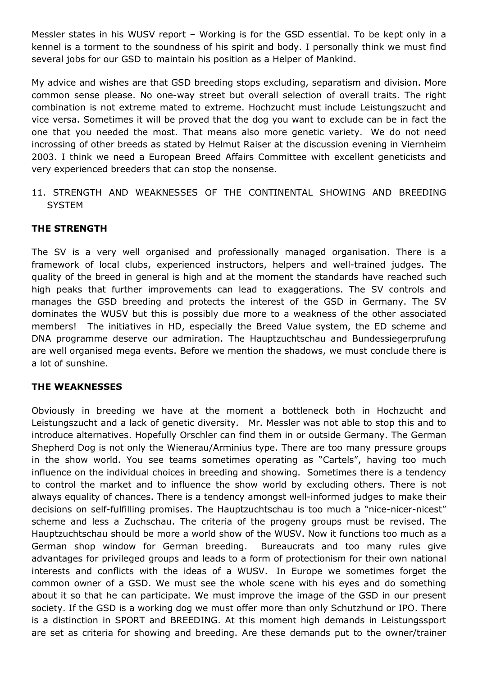Messler states in his WUSV report – Working is for the GSD essential. To be kept only in a kennel is a torment to the soundness of his spirit and body. I personally think we must find several jobs for our GSD to maintain his position as a Helper of Mankind.

My advice and wishes are that GSD breeding stops excluding, separatism and division. More common sense please. No one-way street but overall selection of overall traits. The right combination is not extreme mated to extreme. Hochzucht must include Leistungszucht and vice versa. Sometimes it will be proved that the dog you want to exclude can be in fact the one that you needed the most. That means also more genetic variety. We do not need incrossing of other breeds as stated by Helmut Raiser at the discussion evening in Viernheim 2003. I think we need a European Breed Affairs Committee with excellent geneticists and very experienced breeders that can stop the nonsense.

11. STRENGTH AND WEAKNESSES OF THE CONTINENTAL SHOWING AND BREEDING **SYSTEM** 

# **THE STRENGTH**

The SV is a very well organised and professionally managed organisation. There is a framework of local clubs, experienced instructors, helpers and well-trained judges. The quality of the breed in general is high and at the moment the standards have reached such high peaks that further improvements can lead to exaggerations. The SV controls and manages the GSD breeding and protects the interest of the GSD in Germany. The SV dominates the WUSV but this is possibly due more to a weakness of the other associated members! The initiatives in HD, especially the Breed Value system, the ED scheme and DNA programme deserve our admiration. The Hauptzuchtschau and Bundessiegerprufung are well organised mega events. Before we mention the shadows, we must conclude there is a lot of sunshine.

# **THE WEAKNESSES**

Obviously in breeding we have at the moment a bottleneck both in Hochzucht and Leistungszucht and a lack of genetic diversity. Mr. Messler was not able to stop this and to introduce alternatives. Hopefully Orschler can find them in or outside Germany. The German Shepherd Dog is not only the Wienerau/Arminius type. There are too many pressure groups in the show world. You see teams sometimes operating as "Cartels", having too much influence on the individual choices in breeding and showing. Sometimes there is a tendency to control the market and to influence the show world by excluding others. There is not always equality of chances. There is a tendency amongst well-informed judges to make their decisions on self-fulfilling promises. The Hauptzuchtschau is too much a "nice-nicer-nicest" scheme and less a Zuchschau. The criteria of the progeny groups must be revised. The Hauptzuchtschau should be more a world show of the WUSV. Now it functions too much as a German shop window for German breeding. Bureaucrats and too many rules give advantages for privileged groups and leads to a form of protectionism for their own national interests and conflicts with the ideas of a WUSV. In Europe we sometimes forget the common owner of a GSD. We must see the whole scene with his eyes and do something about it so that he can participate. We must improve the image of the GSD in our present society. If the GSD is a working dog we must offer more than only Schutzhund or IPO. There is a distinction in SPORT and BREEDING. At this moment high demands in Leistungssport are set as criteria for showing and breeding. Are these demands put to the owner/trainer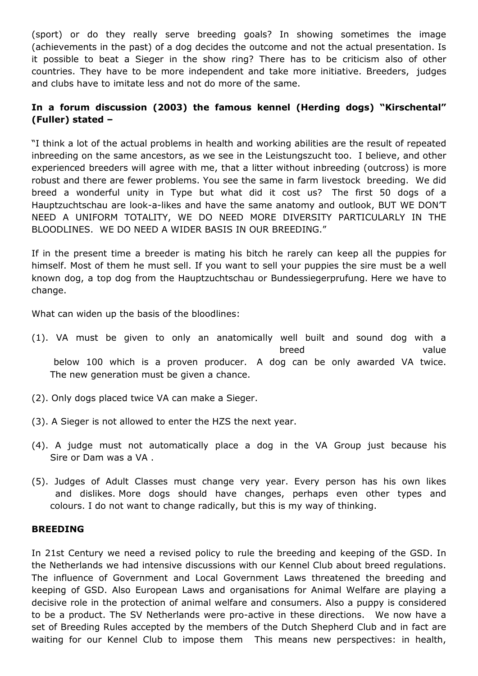(sport) or do they really serve breeding goals? In showing sometimes the image (achievements in the past) of a dog decides the outcome and not the actual presentation. Is it possible to beat a Sieger in the show ring? There has to be criticism also of other countries. They have to be more independent and take more initiative. Breeders, judges and clubs have to imitate less and not do more of the same.

# **In a forum discussion (2003) the famous kennel (Herding dogs) "Kirschental" (Fuller) stated –**

"I think a lot of the actual problems in health and working abilities are the result of repeated inbreeding on the same ancestors, as we see in the Leistungszucht too. I believe, and other experienced breeders will agree with me, that a litter without inbreeding (outcross) is more robust and there are fewer problems. You see the same in farm livestock breeding. We did breed a wonderful unity in Type but what did it cost us? The first 50 dogs of a Hauptzuchtschau are look-a-likes and have the same anatomy and outlook, BUT WE DON'T NEED A UNIFORM TOTALITY, WE DO NEED MORE DIVERSITY PARTICULARLY IN THE BLOODLINES. WE DO NEED A WIDER BASIS IN OUR BREEDING."

If in the present time a breeder is mating his bitch he rarely can keep all the puppies for himself. Most of them he must sell. If you want to sell your puppies the sire must be a well known dog, a top dog from the Hauptzuchtschau or Bundessiegerprufung. Here we have to change.

What can widen up the basis of the bloodlines:

- (1). VA must be given to only an anatomically well built and sound dog with a breed value below 100 which is a proven producer. A dog can be only awarded VA twice. The new generation must be given a chance.
- (2). Only dogs placed twice VA can make a Sieger.
- (3). A Sieger is not allowed to enter the HZS the next year.
- (4). A judge must not automatically place a dog in the VA Group just because his Sire or Dam was a VA .
- (5). Judges of Adult Classes must change very year. Every person has his own likes and dislikes. More dogs should have changes, perhaps even other types and colours. I do not want to change radically, but this is my way of thinking.

#### **BREEDING**

In 21st Century we need a revised policy to rule the breeding and keeping of the GSD. In the Netherlands we had intensive discussions with our Kennel Club about breed regulations. The influence of Government and Local Government Laws threatened the breeding and keeping of GSD. Also European Laws and organisations for Animal Welfare are playing a decisive role in the protection of animal welfare and consumers. Also a puppy is considered to be a product. The SV Netherlands were pro-active in these directions. We now have a set of Breeding Rules accepted by the members of the Dutch Shepherd Club and in fact are waiting for our Kennel Club to impose them This means new perspectives: in health,